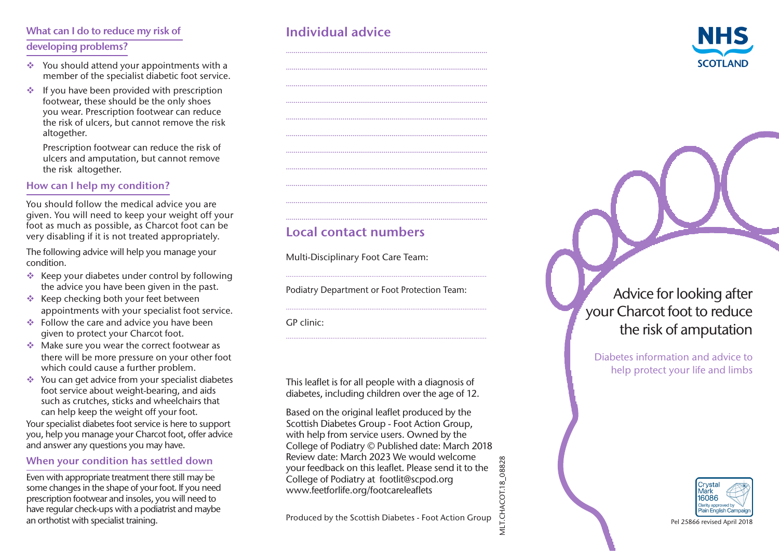# What can I do to reduce my risk of developing problems?

- $\triangleq$  You should attend your appointments with a member of the specialist diabetic foot service.
- $\cdot$  If you have been provided with prescription footwear, these should be the only shoes you wear. Prescription footwear can reduce the risk of ulcers, but cannot remove the risk altogether.

Prescription footwear can reduce the risk of ulcers and amputation, but cannot remove the risk altogether.

#### How can I help my condition?

You should follow the medical advice you are given. You will need to keep your weight off your foot as much as possible, as Charcot foot can be very disabling if it is not treated appropriately.

The following advice will help you manage your condition.

- $\triangleq$  Keep your diabetes under control by following the advice you have been given in the past.
- $\triangleq$  Keep checking both your feet between appointments with your specialist foot service.
- $\triangleq$  Follow the care and advice you have been given to protect your Charcot foot.
- $\triangleq$  Make sure you wear the correct footwear as there will be more pressure on your other foot which could cause a further problem.
- $\triangleq$  You can get advice from your specialist diabetes foot service about weight-bearing, and aids such as crutches, sticks and wheelchairs that can help keep the weight off your foot.

Your specialist diabetes foot service is here to support you, help you manage your Charcot foot, offer advice and answer any questions you may have.

#### When your condition has settled down

Even with appropriate treatment there still may be some changes in the shape of your foot. If you need prescription footwear and insoles, you will need to have regular check-ups with a podiatrist and maybe an orthotist with specialist training.

# Individual advice

....................................................................................................... ....................................................................................................... ....................................................................................................... ....................................................................................................... ....................................................................................................... ....................................................................................................... ....................................................................................................... ....................................................................................................... ....................................................................................................... ....................................................................................................... .......................................................................................................



# Local contact numbers

Multi-Disciplinary Foot Care Team:

Podiatry Department or Foot Protection Team:

............................................................................................................

............................................................................................................

............................................................................................................

GP clinic:

This leaflet is for all people with a diagnosis of diabetes, including children over the age of 12.

Neview date: March 2025 we would welcome<br>
your feedback on this leaflet. Please send it to the age of Podiatry at footlit@scpod.org<br>
WWW.feetforlife.org/footcareleaflets<br>
Produced by the Scottish Diabetes - Foot Action Gro Based on the original leaflet produced by the Scottish Diabetes Group - Foot Action Group, with help from service users. Owned by the College of Podiatry © Published date: March 2018 Review date: March 2023 We would welcome your feedback on this leaflet. Please send it to the College of Podiatry at footlit@scpod.org Neview Gate: March 2023 we would welcome<br>
your feedback on this leaflet. Please send it to the<br>
College of Podiatry at footlit@scpod.org<br>
WWW.feetforlife.org/footcareleaflets<br>
Produced by the Scottish Diabetes - Foot Actio

# Advice for looking after your Charcot foot to reduce the risk of amputation

Diabetes information and advice to help protect your life and limbs